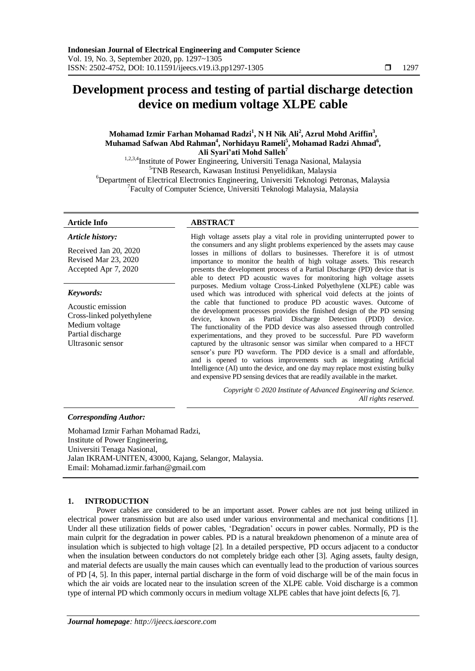# **Development process and testing of partial discharge detection device on medium voltage XLPE cable**

# **Mohamad Izmir Farhan Mohamad Radzi<sup>1</sup> , N H Nik Ali<sup>2</sup> , Azrul Mohd Ariffin<sup>3</sup> , Muhamad Safwan Abd Rahman<sup>4</sup> , Norhidayu Rameli<sup>5</sup> , Mohamad Radzi Ahmad<sup>6</sup> , Ali Syari'ati Mohd Salleh<sup>7</sup>**

1,2,3,4Institute of Power Engineering, Universiti Tenaga Nasional, Malaysia <sup>5</sup>TNB Research, Kawasan Institusi Penyelidikan, Malaysia <sup>6</sup>Department of Electrical Electronics Engineering, Universiti Teknologi Petronas, Malaysia <sup>7</sup>Faculty of Computer Science, Universiti Teknologi Malaysia, Malaysia

#### *Article history:*

Received Jan 20, 2020 Revised Mar 23, 2020 Accepted Apr 7, 2020

### *Keywords:*

Acoustic emission Cross-linked polyethylene Medium voltage Partial discharge Ultrasonic sensor

# **Article Info ABSTRACT**

High voltage assets play a vital role in providing uninterrupted power to the consumers and any slight problems experienced by the assets may cause losses in millions of dollars to businesses. Therefore it is of utmost importance to monitor the health of high voltage assets. This research presents the development process of a Partial Discharge (PD) device that is able to detect PD acoustic waves for monitoring high voltage assets purposes. Medium voltage Cross-Linked Polyethylene (XLPE) cable was used which was introduced with spherical void defects at the joints of the cable that functioned to produce PD acoustic waves. Outcome of the development processes provides the finished design of the PD sensing device, known as Partial Discharge Detection (PDD) device. The functionality of the PDD device was also assessed through controlled experimentations, and they proved to be successful. Pure PD waveform captured by the ultrasonic sensor was similar when compared to a HFCT sensor's pure PD waveform. The PDD device is a small and affordable, and is opened to various improvements such as integrating Artificial Intelligence (AI) unto the device, and one day may replace most existing bulky and expensive PD sensing devices that are readily available in the market.

> *Copyright © 2020 Institute of Advanced Engineering and Science. All rights reserved.*

### *Corresponding Author:*

Mohamad Izmir Farhan Mohamad Radzi, Institute of Power Engineering, Universiti Tenaga Nasional, Jalan IKRAM-UNITEN, 43000, Kajang, Selangor, Malaysia. Email: Mohamad.izmir.farhan@gmail.com

# **1. INTRODUCTION**

Power cables are considered to be an important asset. Power cables are not just being utilized in electrical power transmission but are also used under various environmental and mechanical conditions [1]. Under all these utilization fields of power cables, "Degradation" occurs in power cables. Normally, PD is the main culprit for the degradation in power cables. PD is a natural breakdown phenomenon of a minute area of insulation which is subjected to high voltage [2]. In a detailed perspective, PD occurs adjacent to a conductor when the insulation between conductors do not completely bridge each other [3]. Aging assets, faulty design, and material defects are usually the main causes which can eventually lead to the production of various sources of PD [4, 5]. In this paper, internal partial discharge in the form of void discharge will be of the main focus in which the air voids are located near to the insulation screen of the XLPE cable. Void discharge is a common type of internal PD which commonly occurs in medium voltage XLPE cables that have joint defects [6, 7].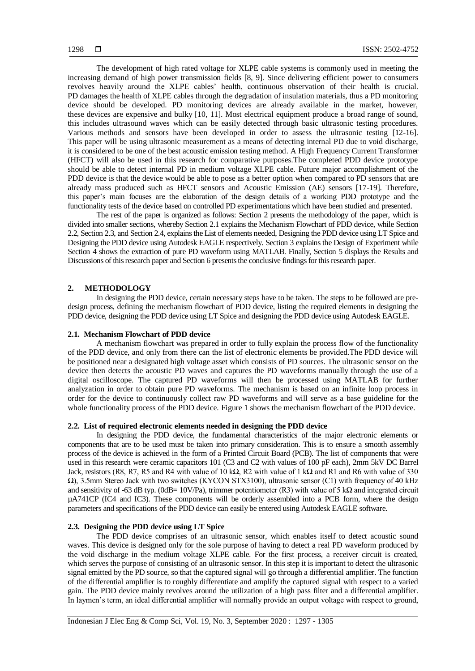The development of high rated voltage for XLPE cable systems is commonly used in meeting the increasing demand of high power transmission fields [8, 9]. Since delivering efficient power to consumers revolves heavily around the XLPE cables" health, continuous observation of their health is crucial. PD damages the health of XLPE cables through the degradation of insulation materials, thus a PD monitoring device should be developed. PD monitoring devices are already available in the market, however, these devices are expensive and bulky [10, 11]. Most electrical equipment produce a broad range of sound, this includes ultrasound waves which can be easily detected through basic ultrasonic testing procedures. Various methods and sensors have been developed in order to assess the ultrasonic testing [12-16]. This paper will be using ultrasonic measurement as a means of detecting internal PD due to void discharge, it is considered to be one of the best acoustic emission testing method. A High Frequency Current Transformer (HFCT) will also be used in this research for comparative purposes.The completed PDD device prototype should be able to detect internal PD in medium voltage XLPE cable. Future major accomplishment of the PDD device is that the device would be able to pose as a better option when compared to PD sensors that are already mass produced such as HFCT sensors and Acoustic Emission (AE) sensors [17-19]. Therefore, this paper"s main focuses are the elaboration of the design details of a working PDD prototype and the functionality tests of the device based on controlled PD experimentations which have been studied and presented.

The rest of the paper is organized as follows: Section 2 presents the methodology of the paper, which is divided into smaller sections, whereby Section 2.1 explains the Mechanism Flowchart of PDD device, while Section 2.2, Section 2.3, and Section 2.4, explains the List of elements needed, Designing the PDD device using LT Spice and Designing the PDD device using Autodesk EAGLE respectively. Section 3 explains the Design of Experiment while Section 4 shows the extraction of pure PD waveform using MATLAB. Finally, Section 5 displays the Results and Discussions of this research paper and Section 6 presents the conclusive findings for this research paper.

#### **2. METHODOLOGY**

In designing the PDD device, certain necessary steps have to be taken. The steps to be followed are predesign process, defining the mechanism flowchart of PDD device, listing the required elements in designing the PDD device, designing the PDD device using LT Spice and designing the PDD device using Autodesk EAGLE.

#### **2.1. Mechanism Flowchart of PDD device**

A mechanism flowchart was prepared in order to fully explain the process flow of the functionality of the PDD device, and only from there can the list of electronic elements be provided.The PDD device will be positioned near a designated high voltage asset which consists of PD sources. The ultrasonic sensor on the device then detects the acoustic PD waves and captures the PD waveforms manually through the use of a digital oscilloscope. The captured PD waveforms will then be processed using MATLAB for further analyzation in order to obtain pure PD waveforms. The mechanism is based on an infinite loop process in order for the device to continuously collect raw PD waveforms and will serve as a base guideline for the whole functionality process of the PDD device. Figure 1 shows the mechanism flowchart of the PDD device.

#### **2.2. List of required electronic elements needed in designing the PDD device**

In designing the PDD device, the fundamental characteristics of the major electronic elements or components that are to be used must be taken into primary consideration. This is to ensure a smooth assembly process of the device is achieved in the form of a Printed Circuit Board (PCB). The list of components that were used in this research were ceramic capacitors 101 (C3 and C2 with values of 100 pF each), 2mm 5kV DC Barrel Jack, resistors (R8, R7, R5 and R4 with value of 10 k $\Omega$ , R2 with value of 1 k $\Omega$  and R1 and R6 with value of 330 Ω), 3.5mm Stereo Jack with two switches (KYCON STX3100), ultrasonic sensor (C1) with frequency of 40 kHz and sensitivity of -63 dB typ. (0dB= 10V/Pa), trimmer potentiometer (R3) with value of 5 k $\Omega$  and integrated circuit µA741CP (IC4 and IC3). These components will be orderly assembled into a PCB form, where the design parameters and specifications of the PDD device can easily be entered using Autodesk EAGLE software.

### **2.3. Designing the PDD device using LT Spice**

The PDD device comprises of an ultrasonic sensor, which enables itself to detect acoustic sound waves. This device is designed only for the sole purpose of having to detect a real PD waveform produced by the void discharge in the medium voltage XLPE cable. For the first process, a receiver circuit is created, which serves the purpose of consisting of an ultrasonic sensor. In this step it is important to detect the ultrasonic signal emitted by the PD source, so that the captured signal will go through a differential amplifier. The function of the differential amplifier is to roughly differentiate and amplify the captured signal with respect to a varied gain. The PDD device mainly revolves around the utilization of a high pass filter and a differential amplifier. In laymen"s term, an ideal differential amplifier will normally provide an output voltage with respect to ground,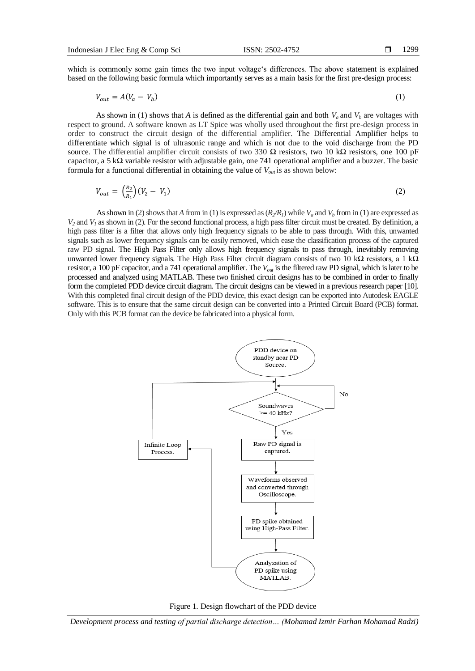which is commonly some gain times the two input voltage's differences. The above statement is explained based on the following basic formula which importantly serves as a main basis for the first pre-design process:

$$
V_{out} = A(V_a - V_b) \tag{1}
$$

As shown in (1) shows that *A* is defined as the differential gain and both  $V_a$  and  $V_b$  are voltages with respect to ground. A software known as LT Spice was wholly used throughout the first pre-design process in order to construct the circuit design of the differential amplifier. The Differential Amplifier helps to differentiate which signal is of ultrasonic range and which is not due to the void discharge from the PD source. The differential amplifier circuit consists of two 330  $\Omega$  resistors, two 10 k $\Omega$  resistors, one 100 pF capacitor, a 5 kΩ variable resistor with adjustable gain, one 741 operational amplifier and a buzzer. The basic formula for a functional differential in obtaining the value of *Vout* is as shown below:

$$
V_{out} = \left(\frac{R_2}{R_1}\right)(V_2 - V_1) \tag{2}
$$

As shown in (2) shows that *A* from in (1) is expressed as  $(R_2/R_1)$  while  $V_a$  and  $V_b$  from in (1) are expressed as  $V_2$  and  $V_1$  as shown in (2). For the second functional process, a high pass filter circuit must be created. By definition, a high pass filter is a filter that allows only high frequency signals to be able to pass through. With this, unwanted signals such as lower frequency signals can be easily removed, which ease the classification process of the captured raw PD signal. The High Pass Filter only allows high frequency signals to pass through, inevitably removing unwanted lower frequency signals. The High Pass Filter circuit diagram consists of two 10 kΩ resistors, a 1 kΩ resistor, a 100 pF capacitor, and a 741 operational amplifier. The *Vout* is the filtered raw PD signal, which is later to be processed and analyzed using MATLAB. These two finished circuit designs has to be combined in order to finally form the completed PDD device circuit diagram. The circuit designs can be viewed in a previous research paper [10]. With this completed final circuit design of the PDD device, this exact design can be exported into Autodesk EAGLE software. This is to ensure that the same circuit design can be converted into a Printed Circuit Board (PCB) format. Only with this PCB format can the device be fabricated into a physical form.





*Development process and testing of partial discharge detection… (Mohamad Izmir Farhan Mohamad Radzi)*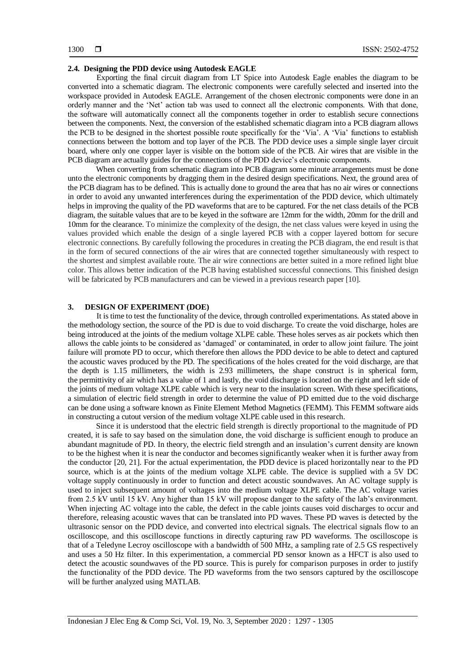#### **2.4. Designing the PDD device using Autodesk EAGLE**

Exporting the final circuit diagram from LT Spice into Autodesk Eagle enables the diagram to be converted into a schematic diagram. The electronic components were carefully selected and inserted into the workspace provided in Autodesk EAGLE. Arrangement of the chosen electronic components were done in an orderly manner and the "Net" action tab was used to connect all the electronic components. With that done, the software will automatically connect all the components together in order to establish secure connections between the components. Next, the conversion of the established schematic diagram into a PCB diagram allows the PCB to be designed in the shortest possible route specifically for the "Via". A "Via" functions to establish connections between the bottom and top layer of the PCB. The PDD device uses a simple single layer circuit board, where only one copper layer is visible on the bottom side of the PCB. Air wires that are visible in the PCB diagram are actually guides for the connections of the PDD device"s electronic components.

When converting from schematic diagram into PCB diagram some minute arrangements must be done unto the electronic components by dragging them in the desired design specifications. Next, the ground area of the PCB diagram has to be defined. This is actually done to ground the area that has no air wires or connections in order to avoid any unwanted interferences during the experimentation of the PDD device, which ultimately helps in improving the quality of the PD waveforms that are to be captured. For the net class details of the PCB diagram, the suitable values that are to be keyed in the software are 12mm for the width, 20mm for the drill and 10mm for the clearance. To minimize the complexity of the design, the net class values were keyed in using the values provided which enable the design of a single layered PCB with a copper layered bottom for secure electronic connections. By carefully following the procedures in creating the PCB diagram, the end result is that in the form of secured connections of the air wires that are connected together simultaneously with respect to the shortest and simplest available route. The air wire connections are better suited in a more refined light blue color. This allows better indication of the PCB having established successful connections. This finished design will be fabricated by PCB manufacturers and can be viewed in a previous research paper [10].

#### **3. DESIGN OF EXPERIMENT (DOE)**

It is time to test the functionality of the device, through controlled experimentations. As stated above in the methodology section, the source of the PD is due to void discharge. To create the void discharge, holes are being introduced at the joints of the medium voltage XLPE cable. These holes serves as air pockets which then allows the cable joints to be considered as "damaged" or contaminated, in order to allow joint failure. The joint failure will promote PD to occur, which therefore then allows the PDD device to be able to detect and captured the acoustic waves produced by the PD. The specifications of the holes created for the void discharge, are that the depth is 1.15 millimeters, the width is 2.93 millimeters, the shape construct is in spherical form, the permittivity of air which has a value of 1 and lastly, the void discharge is located on the right and left side of the joints of medium voltage XLPE cable which is very near to the insulation screen. With these specifications, a simulation of electric field strength in order to determine the value of PD emitted due to the void discharge can be done using a software known as Finite Element Method Magnetics (FEMM). This FEMM software aids in constructing a cutout version of the medium voltage XLPE cable used in this research.

Since it is understood that the electric field strength is directly proportional to the magnitude of PD created, it is safe to say based on the simulation done, the void discharge is sufficient enough to produce an abundant magnitude of PD. In theory, the electric field strength and an insulation"s current density are known to be the highest when it is near the conductor and becomes significantly weaker when it is further away from the conductor [20, 21]. For the actual experimentation, the PDD device is placed horizontally near to the PD source, which is at the joints of the medium voltage XLPE cable. The device is supplied with a 5V DC voltage supply continuously in order to function and detect acoustic soundwaves. An AC voltage supply is used to inject subsequent amount of voltages into the medium voltage XLPE cable. The AC voltage varies from 2.5 kV until 15 kV. Any higher than 15 kV will propose danger to the safety of the lab"s environment. When injecting AC voltage into the cable, the defect in the cable joints causes void discharges to occur and therefore, releasing acoustic waves that can be translated into PD waves. These PD waves is detected by the ultrasonic sensor on the PDD device, and converted into electrical signals. The electrical signals flow to an oscilloscope, and this oscilloscope functions in directly capturing raw PD waveforms. The oscilloscope is that of a Teledyne Lecroy oscilloscope with a bandwidth of 500 MHz, a sampling rate of 2.5 GS respectively and uses a 50 Hz filter. In this experimentation, a commercial PD sensor known as a HFCT is also used to detect the acoustic soundwaves of the PD source. This is purely for comparison purposes in order to justify the functionality of the PDD device. The PD waveforms from the two sensors captured by the oscilloscope will be further analyzed using MATLAB.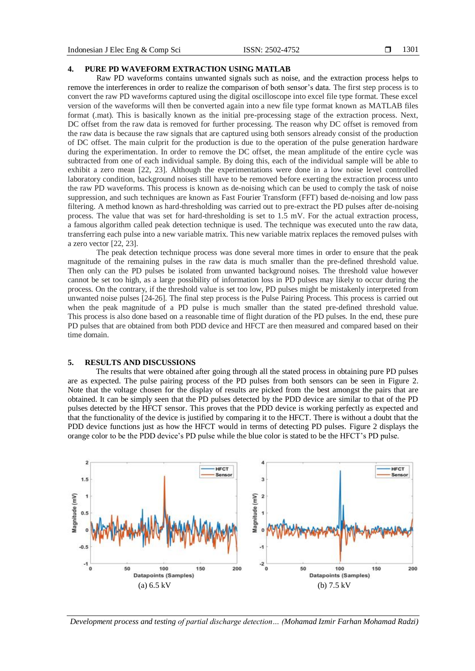## **4. PURE PD WAVEFORM EXTRACTION USING MATLAB**

Raw PD waveforms contains unwanted signals such as noise, and the extraction process helps to remove the interferences in order to realize the comparison of both sensor's data. The first step process is to convert the raw PD waveforms captured using the digital oscilloscope into excel file type format. These excel version of the waveforms will then be converted again into a new file type format known as MATLAB files format (.mat). This is basically known as the initial pre-processing stage of the extraction process. Next, DC offset from the raw data is removed for further processing. The reason why DC offset is removed from the raw data is because the raw signals that are captured using both sensors already consist of the production of DC offset. The main culprit for the production is due to the operation of the pulse generation hardware during the experimentation. In order to remove the DC offset, the mean amplitude of the entire cycle was subtracted from one of each individual sample. By doing this, each of the individual sample will be able to exhibit a zero mean [22, 23]. Although the experimentations were done in a low noise level controlled laboratory condition, background noises still have to be removed before exerting the extraction process unto the raw PD waveforms. This process is known as de-noising which can be used to comply the task of noise suppression, and such techniques are known as Fast Fourier Transform (FFT) based de-noising and low pass filtering. A method known as hard-thresholding was carried out to pre-extract the PD pulses after de-noising process. The value that was set for hard-thresholding is set to 1.5 mV. For the actual extraction process, a famous algorithm called peak detection technique is used. The technique was executed unto the raw data, transferring each pulse into a new variable matrix. This new variable matrix replaces the removed pulses with a zero vector [22, 23].

The peak detection technique process was done several more times in order to ensure that the peak magnitude of the remaining pulses in the raw data is much smaller than the pre-defined threshold value. Then only can the PD pulses be isolated from unwanted background noises. The threshold value however cannot be set too high, as a large possibility of information loss in PD pulses may likely to occur during the process. On the contrary, if the threshold value is set too low, PD pulses might be mistakenly interpreted from unwanted noise pulses [24-26]. The final step process is the Pulse Pairing Process. This process is carried out when the peak magnitude of a PD pulse is much smaller than the stated pre-defined threshold value. This process is also done based on a reasonable time of flight duration of the PD pulses. In the end, these pure PD pulses that are obtained from both PDD device and HFCT are then measured and compared based on their time domain.

# **5. RESULTS AND DISCUSSIONS**

The results that were obtained after going through all the stated process in obtaining pure PD pulses are as expected. The pulse pairing process of the PD pulses from both sensors can be seen in Figure 2. Note that the voltage chosen for the display of results are picked from the best amongst the pairs that are obtained. It can be simply seen that the PD pulses detected by the PDD device are similar to that of the PD pulses detected by the HFCT sensor. This proves that the PDD device is working perfectly as expected and that the functionality of the device is justified by comparing it to the HFCT. There is without a doubt that the PDD device functions just as how the HFCT would in terms of detecting PD pulses. Figure 2 displays the orange color to be the PDD device"s PD pulse while the blue color is stated to be the HFCT"s PD pulse.



*Development process and testing of partial discharge detection… (Mohamad Izmir Farhan Mohamad Radzi)*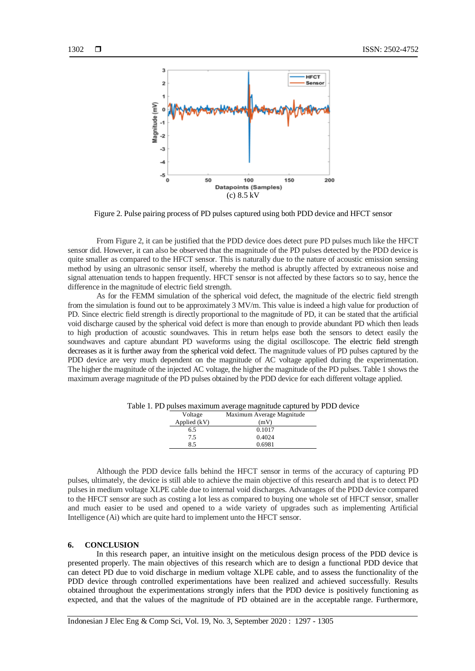

Figure 2. Pulse pairing process of PD pulses captured using both PDD device and HFCT sensor

From Figure 2, it can be justified that the PDD device does detect pure PD pulses much like the HFCT sensor did. However, it can also be observed that the magnitude of the PD pulses detected by the PDD device is quite smaller as compared to the HFCT sensor. This is naturally due to the nature of acoustic emission sensing method by using an ultrasonic sensor itself, whereby the method is abruptly affected by extraneous noise and signal attenuation tends to happen frequently. HFCT sensor is not affected by these factors so to say, hence the difference in the magnitude of electric field strength.

As for the FEMM simulation of the spherical void defect, the magnitude of the electric field strength from the simulation is found out to be approximately 3 MV/m. This value is indeed a high value for production of PD. Since electric field strength is directly proportional to the magnitude of PD, it can be stated that the artificial void discharge caused by the spherical void defect is more than enough to provide abundant PD which then leads to high production of acoustic soundwaves. This in return helps ease both the sensors to detect easily the soundwaves and capture abundant PD waveforms using the digital oscilloscope. The electric field strength decreases as it is further away from the spherical void defect. The magnitude values of PD pulses captured by the PDD device are very much dependent on the magnitude of AC voltage applied during the experimentation. The higher the magnitude of the injected AC voltage, the higher the magnitude of the PD pulses. Table 1 shows the maximum average magnitude of the PD pulses obtained by the PDD device for each different voltage applied.

| Voltage      | Maximum Average Magnitude |
|--------------|---------------------------|
| Applied (kV) | (mV)                      |
| 6.5          | 0.1017                    |
| 7.5          | 0.4024                    |
| 8.5          | 0.6981                    |
|              |                           |

Table 1. PD pulses maximum average magnitude captured by PDD device

Although the PDD device falls behind the HFCT sensor in terms of the accuracy of capturing PD pulses, ultimately, the device is still able to achieve the main objective of this research and that is to detect PD pulses in medium voltage XLPE cable due to internal void discharges. Advantages of the PDD device compared to the HFCT sensor are such as costing a lot less as compared to buying one whole set of HFCT sensor, smaller and much easier to be used and opened to a wide variety of upgrades such as implementing Artificial Intelligence (Ai) which are quite hard to implement unto the HFCT sensor.

# **6. CONCLUSION**

In this research paper, an intuitive insight on the meticulous design process of the PDD device is presented properly. The main objectives of this research which are to design a functional PDD device that can detect PD due to void discharge in medium voltage XLPE cable, and to assess the functionality of the PDD device through controlled experimentations have been realized and achieved successfully. Results obtained throughout the experimentations strongly infers that the PDD device is positively functioning as expected, and that the values of the magnitude of PD obtained are in the acceptable range. Furthermore,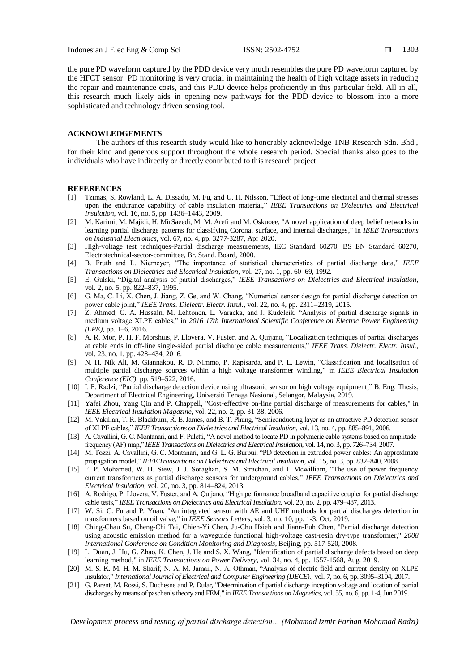the pure PD waveform captured by the PDD device very much resembles the pure PD waveform captured by the HFCT sensor. PD monitoring is very crucial in maintaining the health of high voltage assets in reducing the repair and maintenance costs, and this PDD device helps proficiently in this particular field. All in all, this research much likely aids in opening new pathways for the PDD device to blossom into a more sophisticated and technology driven sensing tool.

#### **ACKNOWLEDGEMENTS**

The authors of this research study would like to honorably acknowledge TNB Research Sdn. Bhd., for their kind and generous support throughout the whole research period. Special thanks also goes to the individuals who have indirectly or directly contributed to this research project.

#### **REFERENCES**

- [1] Tzimas, S. Rowland, L. A. Dissado, M. Fu, and U. H. Nilsson, "Effect of long-time electrical and thermal stresses upon the endurance capability of cable insulation material," *IEEE Transactions on Dielectrics and Electrical Insulation*, vol. 16, no. 5, pp. 1436–1443, 2009.
- [2] M. Karimi, M. Majidi, H. MirSaeedi, M. M. Arefi and M. Oskuoee, "A novel application of deep belief networks in learning partial discharge patterns for classifying Corona, surface, and internal discharges," in *IEEE Transactions on Industrial Electronics*, vol. 67, no. 4, pp. 3277-3287, Apr 2020.
- [3] High-voltage test techniques-Partial discharge measurements, IEC Standard 60270, BS EN Standard 60270, Electrotechnical-sector-committee, Br. Stand. Board, 2000.
- [4] B. Fruth and L. Niemeyer, "The importance of statistical characteristics of partial discharge data," *IEEE Transactions on Dielectrics and Electrical Insulation*, vol. 27, no. 1, pp. 60–69, 1992.
- [5] E. Gulski, "Digital analysis of partial discharges," *IEEE Transactions on Dielectrics and Electrical Insulation*, vol. 2, no. 5, pp. 822–837, 1995.
- [6] G. Ma, C. Li, X. Chen, J. Jiang, Z. Ge, and W. Chang, "Numerical sensor design for partial discharge detection on power cable joint," *IEEE Trans. Dielectr. Electr. Insul.*, vol. 22, no. 4, pp. 2311–2319, 2015.
- [7] Z. Ahmed, G. A. Hussain, M. Lehtonen, L. Varacka, and J. Kudelcik, "Analysis of partial discharge signals in medium voltage XLPE cables," in *2016 17th International Scientific Conference on Electric Power Engineering (EPE)*, pp. 1–6, 2016.
- [8] A. R. Mor, P. H. F. Morshuis, P. Llovera, V. Fuster, and A. Quijano, "Localization techniques of partial discharges at cable ends in off-line single-sided partial discharge cable measurements," *IEEE Trans. Dielectr. Electr. Insul.*, vol. 23, no. 1, pp. 428–434, 2016.
- [9] N. H. Nik Ali, M. Giannakou, R. D. Nimmo, P. Rapisarda, and P. L. Lewin, "Classification and localisation of multiple partial discharge sources within a high voltage transformer winding," in *IEEE Electrical Insulation Conference (EIC)*, pp. 519–522, 2016.
- [10] I. F. Radzi, "Partial discharge detection device using ultrasonic sensor on high voltage equipment," B. Eng. Thesis, Department of Electrical Engineering, Universiti Tenaga Nasional, Selangor, Malaysia, 2019.
- [11] Yafei Zhou, Yang Qin and P. Chappell, "Cost-effective on-line partial discharge of measurements for cables," in *IEEE Electrical Insulation Magazine*, vol. 22, no. 2, pp. 31-38, 2006.
- [12] M. Vakilian, T. R. Blackburn, R. E. James, and B. T. Phung, "Semiconducting layer as an attractive PD detection sensor of XLPE cables," *IEEE Transactions on Dielectrics and Electrical Insulation*, vol. 13, no. 4, pp. 885–891, 2006.
- [13] A. Cavallini, G. C. Montanari, and F. Puletti, "A novel method to locate PD in polymeric cable systems based on amplitudefrequency (AF) map," *IEEE Transactions on Dielectrics and Electrical Insulation*, vol. 14, no. 3, pp. 726–734, 2007.
- [14] M. Tozzi, A. Cavallini, G. C. Montanari, and G. L. G. Burbui, "PD detection in extruded power cables: An approximate propagation model," *IEEE Transactions on Dielectrics and Electrical Insulation*, vol. 15, no. 3, pp. 832–840, 2008.
- [15] F. P. Mohamed, W. H. Siew, J. J. Soraghan, S. M. Strachan, and J. Mcwilliam, "The use of power frequency current transformers as partial discharge sensors for underground cables," *IEEE Transactions on Dielectrics and Electrical Insulation*, vol. 20, no. 3, pp. 814–824, 2013.
- [16] A. Rodrigo, P. Llovera, V. Fuster, and A. Quijano, "High performance broadband capacitive coupler for partial discharge cable tests," *IEEE Transactions on Dielectrics and Electrical Insulation*, vol. 20, no. 2, pp. 479–487, 2013.
- [17] W. Si, C. Fu and P. Yuan, "An integrated sensor with AE and UHF methods for partial discharges detection in transformers based on oil valve," in *IEEE Sensors Letters*, vol. 3, no. 10, pp. 1-3, Oct. 2019.
- [18] Ching-Chau Su, Cheng-Chi Tai, Chien-Yi Chen, Ju-Chu Hsieh and Jiann-Fuh Chen, "Partial discharge detection using acoustic emission method for a waveguide functional high-voltage cast-resin dry-type transformer," *2008 International Conference on Condition Monitoring and Diagnosis*, Beijing, pp. 517-520, 2008.
- [19] L. Duan, J. Hu, G. Zhao, K. Chen, J. He and S. X. Wang, "Identification of partial discharge defects based on deep learning method," in *IEEE Transactions on Power Delivery*, vol. 34, no. 4, pp. 1557-1568, Aug. 2019.
- [20] M. S. K. M. H. M. Sharif, N. A. M. Jamail, N. A. Othman, "Analysis of electric field and current density on XLPE insulator," *International Journal of Electrical and Computer Engineering (IJECE).,* vol. 7, no. 6, pp. 3095–3104, 2017.
- [21] G. Parent, M. Rossi, S. Duchesne and P. Dular, "Determination of partial discharge inception voltage and location of partial discharges by means of paschen"s theory and FEM," in *IEEE Transactions on Magnetics*, vol. 55, no. 6, pp. 1-4, Jun 2019.

*Development process and testing of partial discharge detection… (Mohamad Izmir Farhan Mohamad Radzi)*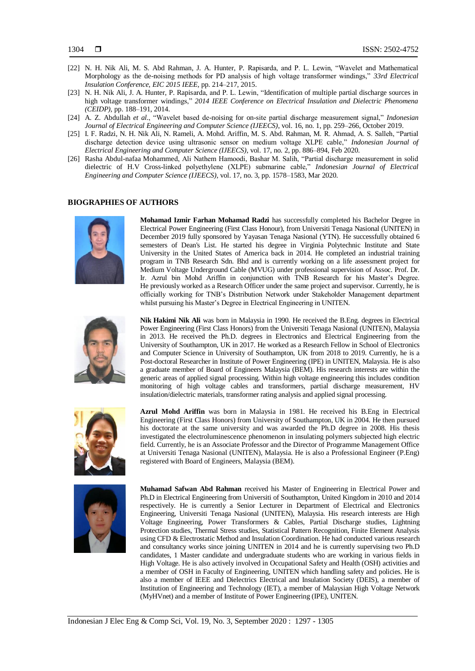- [22] N. H. Nik Ali, M. S. Abd Rahman, J. A. Hunter, P. Rapisarda, and P. L. Lewin, "Wavelet and Mathematical Morphology as the de-noising methods for PD analysis of high voltage transformer windings," *33rd Electrical Insulation Conference, EIC 2015 IEEE,* pp. 214–217, 2015.
- [23] N. H. Nik Ali, J. A. Hunter, P. Rapisarda, and P. L. Lewin, "Identification of multiple partial discharge sources in high voltage transformer windings," *2014 IEEE Conference on Electrical Insulation and Dielectric Phenomena (CEIDP)*, pp. 188–191, 2014.
- [24] A. Z. Abdullah *et al.*, "Wavelet based de-noising for on-site partial discharge measurement signal," *Indonesian Journal of Electrical Engineering and Computer Science (IJEECS)*, vol. 16, no. 1, pp. 259–266, October 2019.
- [25] I. F. Radzi, N. H. Nik Ali, N. Rameli, A. Mohd. Ariffin, M. S. Abd. Rahman, M. R. Ahmad, A. S. Salleh, "Partial discharge detection device using ultrasonic sensor on medium voltage XLPE cable," *Indonesian Journal of Electrical Engineering and Computer Science (IJEECS)*, vol. 17, no. 2, pp. 886–894, Feb 2020.
- [26] Rasha Abdul-nafaa Mohammed, Ali Nathem Hamoodi, Bashar M. Salih, "Partial discharge measurement in solid dielectric of H.V Cross-linked polyethylene (XLPE) submarine cable," *Indonesian Journal of Electrical Engineering and Computer Science (IJEECS)*, vol. 17, no. 3, pp. 1578–1583, Mar 2020.

# **BIOGRAPHIES OF AUTHORS**



**Mohamad Izmir Farhan Mohamad Radzi** has successfully completed his Bachelor Degree in Electrical Power Engineering (First Class Honour), from Universiti Tenaga Nasional (UNITEN) in December 2019 fully sponsored by Yayasan Tenaga Nasional (YTN). He successfully obtained 6 semesters of Dean's List. He started his degree in Virginia Polytechnic Institute and State University in the United States of America back in 2014. He completed an industrial training program in TNB Research Sdn. Bhd and is currently working on a life assessment project for Medium Voltage Underground Cable (MVUG) under professional supervision of Assoc. Prof. Dr. Ir. Azrul bin Mohd Ariffin in conjunction with TNB Research for his Master"s Degree. He previously worked as a Research Officer under the same project and supervisor. Currently, he is officially working for TNB"s Distribution Network under Stakeholder Management department whilst pursuing his Master"s Degree in Electrical Engineering in UNITEN.

$$
\begin{pmatrix} 1 \\ 0 \\ 0 \end{pmatrix}
$$

**Nik Hakimi Nik Ali** was born in Malaysia in 1990. He received the B.Eng. degrees in Electrical Power Engineering (First Class Honors) from the Universiti Tenaga Nasional (UNITEN), Malaysia in 2013. He received the Ph.D. degrees in Electronics and Electrical Engineering from the University of Southampton, UK in 2017. He worked as a Research Fellow in School of Electronics and Computer Science in University of Southampton, UK from 2018 to 2019. Currently, he is a Post-doctoral Researcher in Institute of Power Engineering (IPE) in UNITEN, Malaysia. He is also a graduate member of Board of Engineers Malaysia (BEM). His research interests are within the generic areas of applied signal processing. Within high voltage engineering this includes condition monitoring of high voltage cables and transformers, partial discharge measurement, HV insulation/dielectric materials, transformer rating analysis and applied signal processing.



**Azrul Mohd Ariffin** was born in Malaysia in 1981. He received his B.Eng in Electrical Engineering (First Class Honors) from University of Southampton, UK in 2004. He then pursued his doctorate at the same university and was awarded the Ph.D degree in 2008. His thesis investigated the electroluminescence phenomenon in insulating polymers subjected high electric field. Currently, he is an Associate Professor and the Director of Programme Management Office at Universiti Tenaga Nasional (UNITEN), Malaysia. He is also a Professional Engineer (P.Eng) registered with Board of Engineers, Malaysia (BEM).



**Muhamad Safwan Abd Rahman** received his Master of Engineering in Electrical Power and Ph.D in Electrical Engineering from Universiti of Southampton, United Kingdom in 2010 and 2014 respectively. He is currently a Senior Lecturer in Department of Electrical and Electronics Engineering, Universiti Tenaga Nasional (UNITEN), Malaysia. His research interests are High Voltage Engineering, Power Transformers & Cables, Partial Discharge studies, Lightning Protection studies, Thermal Stress studies, Statistical Pattern Recognition, Finite Element Analysis using CFD & Electrostatic Method and Insulation Coordination. He had conducted various research and consultancy works since joining UNITEN in 2014 and he is currently supervising two Ph.D candidates, 1 Master candidate and undergraduate students who are working in various fields in High Voltage. He is also actively involved in Occupational Safety and Health (OSH) activities and a member of OSH in Faculty of Engineering, UNITEN which handling safety and policies. He is also a member of IEEE and Dielectrics Electrical and Insulation Society (DEIS), a member of Institution of Engineering and Technology (IET), a member of Malaysian High Voltage Network (MyHVnet) and a member of Institute of Power Engineering (IPE), UNITEN.